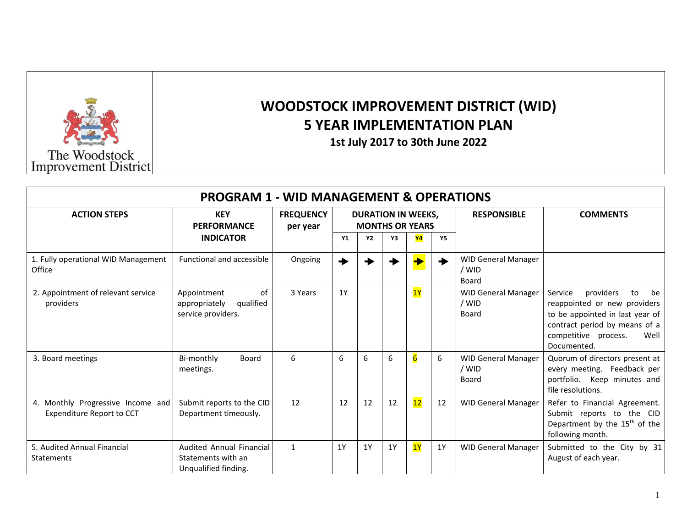

## **WOODSTOCK IMPROVEMENT DISTRICT (WID) 5 YEAR IMPLEMENTATION PLAN**

**1st July 2017 to 30th June 2022**

| <b>PROGRAM 1 - WID MANAGEMENT &amp; OPERATIONS</b>             |                                                                        |                              |    |                                                     |    |    |           |                                              |                                                                                                                                                                                     |  |  |  |
|----------------------------------------------------------------|------------------------------------------------------------------------|------------------------------|----|-----------------------------------------------------|----|----|-----------|----------------------------------------------|-------------------------------------------------------------------------------------------------------------------------------------------------------------------------------------|--|--|--|
| <b>ACTION STEPS</b>                                            | <b>KEY</b><br><b>PERFORMANCE</b>                                       | <b>FREQUENCY</b><br>per year |    | <b>DURATION IN WEEKS,</b><br><b>MONTHS OR YEARS</b> |    |    |           | <b>RESPONSIBLE</b>                           | <b>COMMENTS</b>                                                                                                                                                                     |  |  |  |
|                                                                | <b>INDICATOR</b>                                                       |                              | Y1 | <b>Y2</b>                                           | Υ3 | Y4 | <b>Y5</b> |                                              |                                                                                                                                                                                     |  |  |  |
| 1. Fully operational WID Management<br>Office                  | Functional and accessible                                              | Ongoing                      |    |                                                     |    |    |           | <b>WID General Manager</b><br>/ WID<br>Board |                                                                                                                                                                                     |  |  |  |
| 2. Appointment of relevant service<br>providers                | of<br>Appointment<br>qualified<br>appropriately<br>service providers.  | 3 Years                      | 1Y |                                                     |    | 1Y |           | <b>WID General Manager</b><br>/ WID<br>Board | Service<br>providers<br>be<br>to<br>reappointed or new providers<br>to be appointed in last year of<br>contract period by means of a<br>competitive process.<br>Well<br>Documented. |  |  |  |
| 3. Board meetings                                              | Bi-monthly<br>Board<br>meetings.                                       | 6                            | 6  | 6                                                   | 6  | 6  | 6         | <b>WID General Manager</b><br>/ WID<br>Board | Quorum of directors present at<br>every meeting. Feedback per<br>portfolio. Keep minutes and<br>file resolutions.                                                                   |  |  |  |
| 4. Monthly Progressive Income and<br>Expenditure Report to CCT | Submit reports to the CID<br>Department timeously.                     | 12                           | 12 | 12                                                  | 12 | 12 | 12        | <b>WID General Manager</b>                   | Refer to Financial Agreement.<br>Submit reports to the CID<br>Department by the 15 <sup>th</sup> of the<br>following month.                                                         |  |  |  |
| 5. Audited Annual Financial<br>Statements                      | Audited Annual Financial<br>Statements with an<br>Unqualified finding. | $\mathbf{1}$                 | 1Y | 1Y                                                  | 1Y | 1Y | 1Y        | <b>WID General Manager</b>                   | Submitted to the City by 31<br>August of each year.                                                                                                                                 |  |  |  |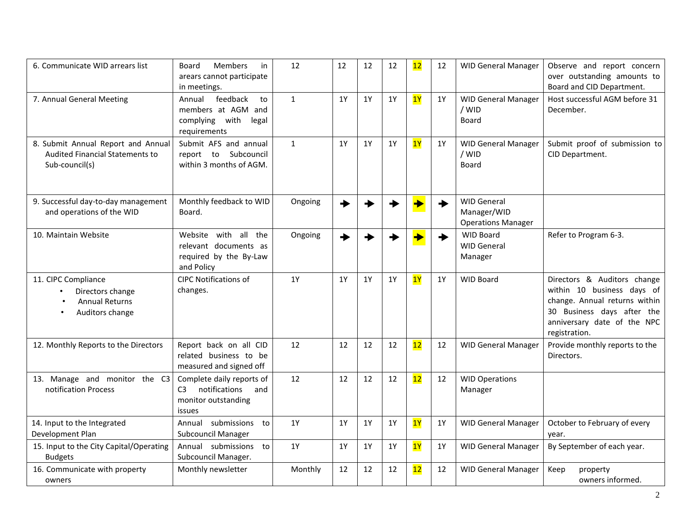| 6. Communicate WID arrears list                                                                | <b>Members</b><br>in<br>Board<br>arears cannot participate<br>in meetings.                           | 12           | 12        | 12        | 12 | 12 | 12        | <b>WID General Manager</b>                                     | Observe and report concern<br>over outstanding amounts to<br>Board and CID Department.                                                                                   |
|------------------------------------------------------------------------------------------------|------------------------------------------------------------------------------------------------------|--------------|-----------|-----------|----|----|-----------|----------------------------------------------------------------|--------------------------------------------------------------------------------------------------------------------------------------------------------------------------|
| 7. Annual General Meeting                                                                      | feedback<br>to<br>Annual<br>members at AGM and<br>complying with<br>legal<br>requirements            | $\mathbf{1}$ | 1Y        | 1Y        | 1Y | 1Y | 1Y        | <b>WID General Manager</b><br>/ WID<br>Board                   | Host successful AGM before 31<br>December.                                                                                                                               |
| 8. Submit Annual Report and Annual<br><b>Audited Financial Statements to</b><br>Sub-council(s) | Submit AFS and annual<br>Subcouncil<br>report to<br>within 3 months of AGM.                          | $\mathbf{1}$ | 1Y        | <b>1Y</b> | 1Y | 1Y | 1Y        | <b>WID General Manager</b><br>/ WID<br>Board                   | Submit proof of submission to<br>CID Department.                                                                                                                         |
| 9. Successful day-to-day management<br>and operations of the WID                               | Monthly feedback to WID<br>Board.                                                                    | Ongoing      | ◆         |           |    |    |           | <b>WID General</b><br>Manager/WID<br><b>Operations Manager</b> |                                                                                                                                                                          |
| 10. Maintain Website                                                                           | all<br>the<br>Website with<br>relevant documents as<br>required by the By-Law<br>and Policy          | Ongoing      |           |           |    |    |           | <b>WID Board</b><br><b>WID General</b><br>Manager              | Refer to Program 6-3.                                                                                                                                                    |
| 11. CIPC Compliance<br>Directors change<br><b>Annual Returns</b><br>Auditors change            | <b>CIPC Notifications of</b><br>changes.                                                             | 1Y           | <b>1Y</b> | <b>1Y</b> | 1Y | 1Y | <b>1Y</b> | <b>WID Board</b>                                               | Directors & Auditors change<br>within 10 business days of<br>change. Annual returns within<br>30 Business days after the<br>anniversary date of the NPC<br>registration. |
| 12. Monthly Reports to the Directors                                                           | Report back on all CID<br>related business to be<br>measured and signed off                          | 12           | 12        | 12        | 12 | 12 | 12        | <b>WID General Manager</b>                                     | Provide monthly reports to the<br>Directors.                                                                                                                             |
| 13. Manage and monitor the C3<br>notification Process                                          | Complete daily reports of<br>notifications<br>C <sub>3</sub><br>and<br>monitor outstanding<br>issues | 12           | 12        | 12        | 12 | 12 | 12        | <b>WID Operations</b><br>Manager                               |                                                                                                                                                                          |
| 14. Input to the Integrated<br>Development Plan                                                | Annual submissions to<br><b>Subcouncil Manager</b>                                                   | 1Y           | 1Y        | 1Y        | 1Y | 1Y | 1Y        | <b>WID General Manager</b>                                     | October to February of every<br>year.                                                                                                                                    |
| 15. Input to the City Capital/Operating<br><b>Budgets</b>                                      | Annual submissions to<br>Subcouncil Manager.                                                         | 1Y           | <b>1Y</b> | 1Y        | 1Y | 1Y | 1Y        | <b>WID General Manager</b>                                     | By September of each year.                                                                                                                                               |
| 16. Communicate with property<br>owners                                                        | Monthly newsletter                                                                                   | Monthly      | 12        | 12        | 12 | 12 | 12        | <b>WID General Manager</b>                                     | Keep<br>property<br>owners informed.                                                                                                                                     |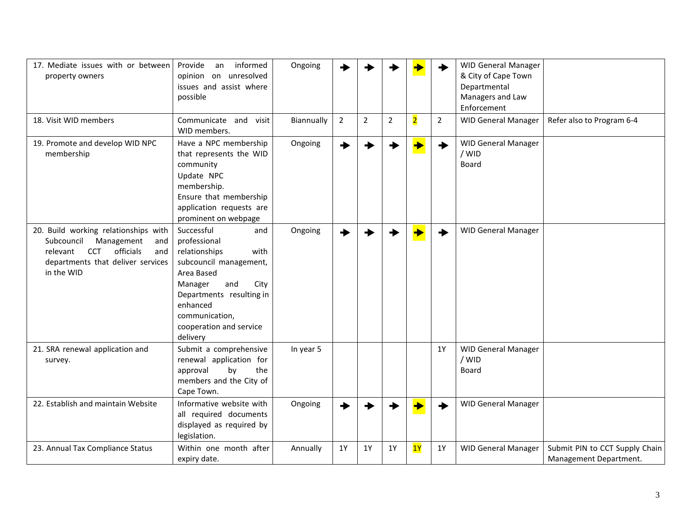| 17. Mediate issues with or between<br>property owners                                                                                                                    | informed<br>Provide<br>an<br>opinion on unresolved<br>issues and assist where<br>possible                                                                                                                                     | Ongoing    |             |                |                |                | ◆              | <b>WID General Manager</b><br>& City of Cape Town<br>Departmental<br>Managers and Law<br>Enforcement |                                                          |
|--------------------------------------------------------------------------------------------------------------------------------------------------------------------------|-------------------------------------------------------------------------------------------------------------------------------------------------------------------------------------------------------------------------------|------------|-------------|----------------|----------------|----------------|----------------|------------------------------------------------------------------------------------------------------|----------------------------------------------------------|
| 18. Visit WID members                                                                                                                                                    | Communicate and<br>visit<br>WID members.                                                                                                                                                                                      | Biannually | $2^{\circ}$ | $\overline{2}$ | $\overline{2}$ | $\overline{2}$ | $\overline{2}$ | <b>WID General Manager</b>                                                                           | Refer also to Program 6-4                                |
| 19. Promote and develop WID NPC<br>membership                                                                                                                            | Have a NPC membership<br>that represents the WID<br>community<br>Update NPC<br>membership.<br>Ensure that membership<br>application requests are<br>prominent on webpage                                                      | Ongoing    |             |                |                |                | ◆              | <b>WID General Manager</b><br>/ WID<br>Board                                                         |                                                          |
| 20. Build working relationships with<br>Subcouncil<br>Management<br>and<br>officials<br><b>CCT</b><br>relevant<br>and<br>departments that deliver services<br>in the WID | Successful<br>and<br>professional<br>relationships<br>with<br>subcouncil management,<br>Area Based<br>Manager<br>and<br>City<br>Departments resulting in<br>enhanced<br>communication,<br>cooperation and service<br>delivery | Ongoing    |             |                |                |                |                | <b>WID General Manager</b>                                                                           |                                                          |
| 21. SRA renewal application and<br>survey.                                                                                                                               | Submit a comprehensive<br>renewal application for<br>by<br>the<br>approval<br>members and the City of<br>Cape Town.                                                                                                           | In year 5  |             |                |                |                | <b>1Y</b>      | <b>WID General Manager</b><br>/ WID<br>Board                                                         |                                                          |
| 22. Establish and maintain Website                                                                                                                                       | Informative website with<br>all required documents<br>displayed as required by<br>legislation.                                                                                                                                | Ongoing    |             |                |                |                |                | <b>WID General Manager</b>                                                                           |                                                          |
| 23. Annual Tax Compliance Status                                                                                                                                         | Within one month after<br>expiry date.                                                                                                                                                                                        | Annually   | 1Y          | 1Y             | 1Y             | 1Y             | 1Y             | <b>WID General Manager</b>                                                                           | Submit PIN to CCT Supply Chain<br>Management Department. |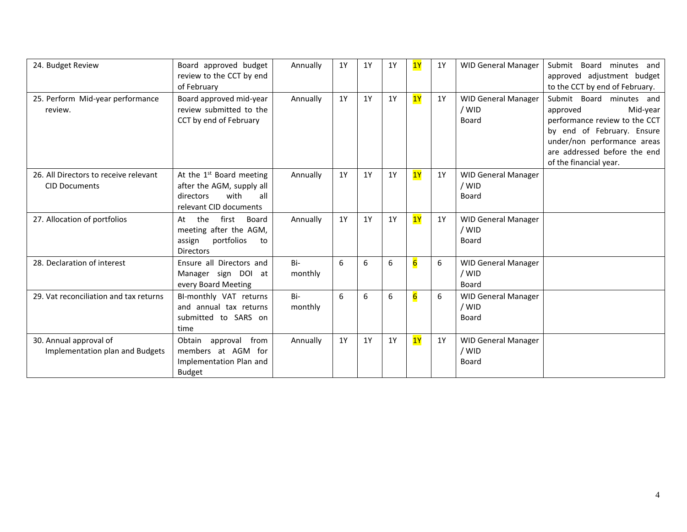| 24. Budget Review                                             | Board approved budget<br>review to the CCT by end<br>of February                                              | Annually       | 1Y | 1Y | 1Y | 1Y              | 1Y | <b>WID General Manager</b>                   | Submit<br>Board<br>minutes and<br>approved adjustment budget<br>to the CCT by end of February.                                                                                                           |
|---------------------------------------------------------------|---------------------------------------------------------------------------------------------------------------|----------------|----|----|----|-----------------|----|----------------------------------------------|----------------------------------------------------------------------------------------------------------------------------------------------------------------------------------------------------------|
| 25. Perform Mid-year performance<br>review.                   | Board approved mid-year<br>review submitted to the<br>CCT by end of February                                  | Annually       | 1Y | 1Y | 1Y | 1Y              | 1Y | <b>WID General Manager</b><br>/ WID<br>Board | Submit Board minutes and<br>Mid-year<br>approved<br>performance review to the CCT<br>by end of February. Ensure<br>under/non performance areas<br>are addressed before the end<br>of the financial year. |
| 26. All Directors to receive relevant<br><b>CID Documents</b> | At the $1st$ Board meeting<br>after the AGM, supply all<br>with<br>all<br>directors<br>relevant CID documents | Annually       | 1Y | 1Y | 1Y | 1Y              | 1Y | <b>WID General Manager</b><br>/ WID<br>Board |                                                                                                                                                                                                          |
| 27. Allocation of portfolios                                  | first<br>the<br>Board<br>At<br>meeting after the AGM,<br>portfolios<br>assign<br>to<br><b>Directors</b>       | Annually       | 1Y | 1Y | 1Y | 1Y              | 1Y | <b>WID General Manager</b><br>/ WID<br>Board |                                                                                                                                                                                                          |
| 28. Declaration of interest                                   | Ensure all Directors and<br>Manager sign DOI at<br>every Board Meeting                                        | Bi-<br>monthly | 6  | 6  | 6  | $6\overline{6}$ | 6  | <b>WID General Manager</b><br>/ WID<br>Board |                                                                                                                                                                                                          |
| 29. Vat reconciliation and tax returns                        | BI-monthly VAT returns<br>and annual tax returns<br>submitted to SARS on<br>time                              | Bi-<br>monthly | 6  | 6  | 6  | $6\overline{6}$ | 6  | <b>WID General Manager</b><br>/ WID<br>Board |                                                                                                                                                                                                          |
| 30. Annual approval of<br>Implementation plan and Budgets     | from<br>Obtain<br>approval<br>members at AGM for<br>Implementation Plan and<br><b>Budget</b>                  | Annually       | 1Y | 1Y | 1Y | 1Y              | 1Y | <b>WID General Manager</b><br>/ WID<br>Board |                                                                                                                                                                                                          |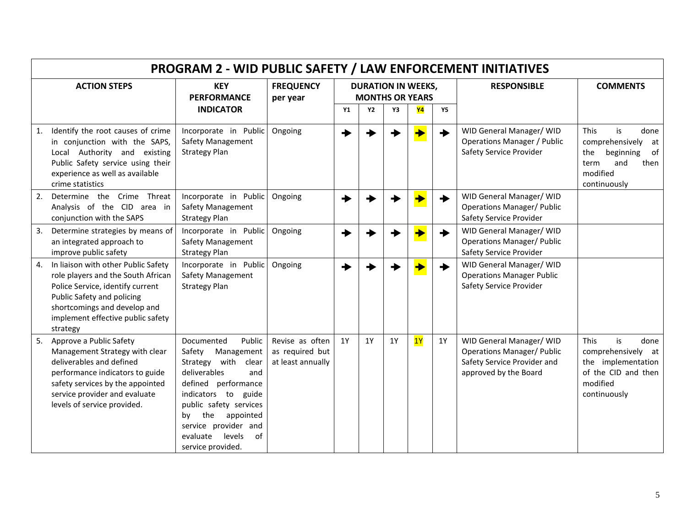|    | <b>PROGRAM 2 - WID PUBLIC SAFETY / LAW ENFORCEMENT INITIATIVES</b>                                                                                                                                                              |                                                                                                                                                                                                                                                                          |                                                         |    |                                                     |           |           |           |                                                                                                                       |                                                                                                                                 |  |
|----|---------------------------------------------------------------------------------------------------------------------------------------------------------------------------------------------------------------------------------|--------------------------------------------------------------------------------------------------------------------------------------------------------------------------------------------------------------------------------------------------------------------------|---------------------------------------------------------|----|-----------------------------------------------------|-----------|-----------|-----------|-----------------------------------------------------------------------------------------------------------------------|---------------------------------------------------------------------------------------------------------------------------------|--|
|    | <b>ACTION STEPS</b>                                                                                                                                                                                                             | <b>KEY</b><br><b>PERFORMANCE</b>                                                                                                                                                                                                                                         | <b>FREQUENCY</b><br>per year                            |    | <b>DURATION IN WEEKS,</b><br><b>MONTHS OR YEARS</b> |           |           |           | <b>RESPONSIBLE</b>                                                                                                    | <b>COMMENTS</b>                                                                                                                 |  |
|    |                                                                                                                                                                                                                                 | <b>INDICATOR</b>                                                                                                                                                                                                                                                         |                                                         | Y1 | <b>Y2</b>                                           | Υ3        | <b>Y4</b> | <b>Y5</b> |                                                                                                                       |                                                                                                                                 |  |
| 1. | Identify the root causes of crime<br>in conjunction with the SAPS,<br>Local Authority and existing<br>Public Safety service using their<br>experience as well as available<br>crime statistics                                  | Incorporate in Public<br>Safety Management<br><b>Strategy Plan</b>                                                                                                                                                                                                       | Ongoing                                                 |    |                                                     |           |           |           | WID General Manager/ WID<br><b>Operations Manager / Public</b><br>Safety Service Provider                             | is<br><b>This</b><br>done<br>comprehensively<br>at<br>of<br>beginning<br>the<br>and<br>then<br>term<br>modified<br>continuously |  |
| 2. | Determine the Crime Threat<br>Analysis of the CID area in<br>conjunction with the SAPS                                                                                                                                          | Incorporate in Public<br>Safety Management<br><b>Strategy Plan</b>                                                                                                                                                                                                       | Ongoing                                                 |    |                                                     |           |           |           | WID General Manager/ WID<br><b>Operations Manager/ Public</b><br>Safety Service Provider                              |                                                                                                                                 |  |
| 3. | Determine strategies by means of<br>an integrated approach to<br>improve public safety                                                                                                                                          | Incorporate in Public<br><b>Safety Management</b><br><b>Strategy Plan</b>                                                                                                                                                                                                | Ongoing                                                 |    |                                                     |           |           |           | WID General Manager/ WID<br><b>Operations Manager/ Public</b><br>Safety Service Provider                              |                                                                                                                                 |  |
|    | 4. In liaison with other Public Safety<br>role players and the South African<br>Police Service, identify current<br>Public Safety and policing<br>shortcomings and develop and<br>implement effective public safety<br>strategy | Incorporate in Public<br>Safety Management<br><b>Strategy Plan</b>                                                                                                                                                                                                       | Ongoing                                                 |    |                                                     |           |           |           | WID General Manager/ WID<br><b>Operations Manager Public</b><br>Safety Service Provider                               |                                                                                                                                 |  |
| 5. | Approve a Public Safety<br>Management Strategy with clear<br>deliverables and defined<br>performance indicators to guide<br>safety services by the appointed<br>service provider and evaluate<br>levels of service provided.    | Documented<br>Public<br>Safety<br>Management<br>Strategy with<br>clear<br>deliverables<br>and<br>defined performance<br>indicators to guide<br>public safety services<br>appointed<br>the<br>bv<br>service provider and<br>levels<br>of<br>evaluate<br>service provided. | Revise as often<br>as required but<br>at least annually | 1Y | 1Y                                                  | <b>1Y</b> | 1Y        | 1Y        | WID General Manager/ WID<br><b>Operations Manager/ Public</b><br>Safety Service Provider and<br>approved by the Board | is<br><b>This</b><br>done<br>comprehensively at<br>the implementation<br>of the CID and then<br>modified<br>continuously        |  |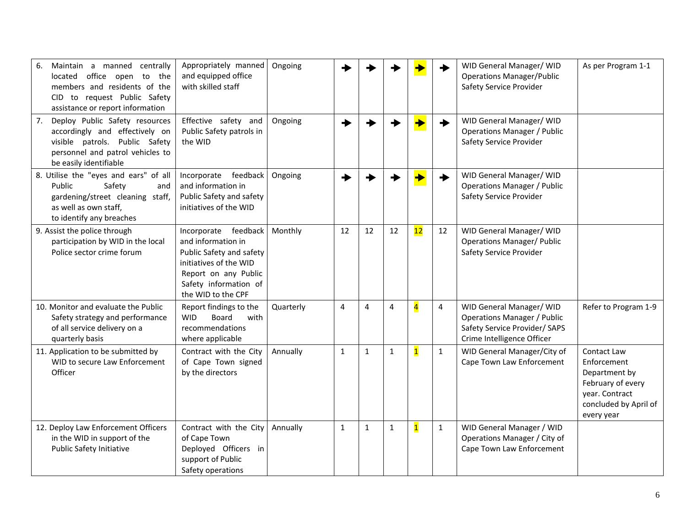| 6.<br>Maintain a manned centrally<br>located office open to the<br>members and residents of the<br>CID to request Public Safety<br>assistance or report information    | Appropriately manned<br>and equipped office<br>with skilled staff                                                                                                       | Ongoing   |                |                |              |                         |              | WID General Manager/ WID<br><b>Operations Manager/Public</b><br>Safety Service Provider                                       | As per Program 1-1                                                                                                        |
|------------------------------------------------------------------------------------------------------------------------------------------------------------------------|-------------------------------------------------------------------------------------------------------------------------------------------------------------------------|-----------|----------------|----------------|--------------|-------------------------|--------------|-------------------------------------------------------------------------------------------------------------------------------|---------------------------------------------------------------------------------------------------------------------------|
| Deploy Public Safety resources<br>7.<br>accordingly and effectively on<br>visible patrols. Public Safety<br>personnel and patrol vehicles to<br>be easily identifiable | Effective safety and<br>Public Safety patrols in<br>the WID                                                                                                             | Ongoing   |                |                |              |                         |              | WID General Manager/ WID<br><b>Operations Manager / Public</b><br>Safety Service Provider                                     |                                                                                                                           |
| 8. Utilise the "eyes and ears" of all<br>Public<br>Safety<br>and<br>gardening/street cleaning staff,<br>as well as own staff,<br>to identify any breaches              | Incorporate feedback<br>and information in<br>Public Safety and safety<br>initiatives of the WID                                                                        | Ongoing   |                |                |              |                         | →            | WID General Manager/ WID<br><b>Operations Manager / Public</b><br>Safety Service Provider                                     |                                                                                                                           |
| 9. Assist the police through<br>participation by WID in the local<br>Police sector crime forum                                                                         | Incorporate feedback<br>and information in<br>Public Safety and safety<br>initiatives of the WID<br>Report on any Public<br>Safety information of<br>the WID to the CPF | Monthly   | 12             | 12             | 12           | 12                      | 12           | WID General Manager/ WID<br><b>Operations Manager/ Public</b><br>Safety Service Provider                                      |                                                                                                                           |
| 10. Monitor and evaluate the Public<br>Safety strategy and performance<br>of all service delivery on a<br>quarterly basis                                              | Report findings to the<br><b>WID</b><br>with<br>Board<br>recommendations<br>where applicable                                                                            | Quarterly | $\overline{4}$ | $\overline{4}$ | 4            | $\overline{4}$          | 4            | WID General Manager/ WID<br><b>Operations Manager / Public</b><br>Safety Service Provider/ SAPS<br>Crime Intelligence Officer | Refer to Program 1-9                                                                                                      |
| 11. Application to be submitted by<br>WID to secure Law Enforcement<br>Officer                                                                                         | Contract with the City<br>of Cape Town signed<br>by the directors                                                                                                       | Annually  | $\mathbf{1}$   | $\mathbf{1}$   | $\mathbf{1}$ | $\overline{\mathbf{1}}$ | $\mathbf{1}$ | WID General Manager/City of<br>Cape Town Law Enforcement                                                                      | Contact Law<br>Enforcement<br>Department by<br>February of every<br>year. Contract<br>concluded by April of<br>every year |
| 12. Deploy Law Enforcement Officers<br>in the WID in support of the<br><b>Public Safety Initiative</b>                                                                 | Contract with the City<br>of Cape Town<br>Deployed Officers in<br>support of Public<br>Safety operations                                                                | Annually  | $\mathbf{1}$   | $\mathbf{1}$   | $\mathbf 1$  | $\overline{\mathbf{1}}$ | $\mathbf{1}$ | WID General Manager / WID<br>Operations Manager / City of<br>Cape Town Law Enforcement                                        |                                                                                                                           |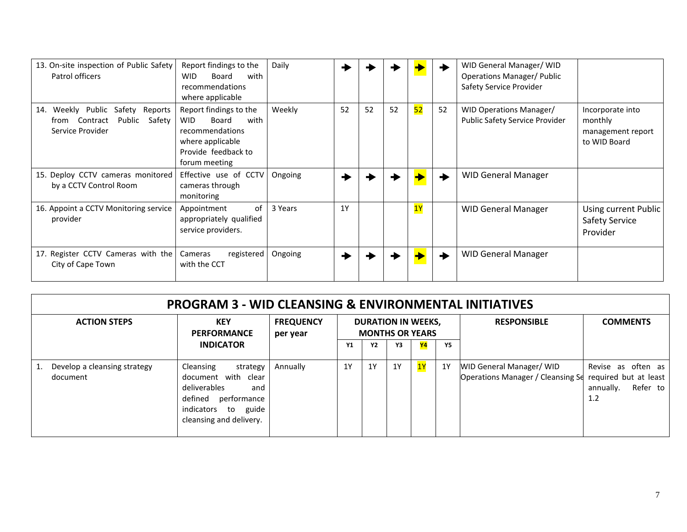| 13. On-site inspection of Public Safety<br>Patrol officers                                            | Report findings to the<br><b>WID</b><br>with<br>Board<br>recommendations<br>where applicable                                         | Daily   |    |    |    |    |    | WID General Manager/ WID<br><b>Operations Manager/ Public</b><br>Safety Service Provider |                                                                  |
|-------------------------------------------------------------------------------------------------------|--------------------------------------------------------------------------------------------------------------------------------------|---------|----|----|----|----|----|------------------------------------------------------------------------------------------|------------------------------------------------------------------|
| Public Safety<br>Weekly<br>14.<br>Reports<br>Public<br>Safety<br>Contract<br>trom<br>Service Provider | Report findings to the<br>with<br><b>WID</b><br>Board<br>recommendations<br>where applicable<br>Provide feedback to<br>forum meeting | Weekly  | 52 | 52 | 52 | 52 | 52 | <b>WID Operations Manager/</b><br><b>Public Safety Service Provider</b>                  | Incorporate into<br>monthly<br>management report<br>to WID Board |
| 15. Deploy CCTV cameras monitored<br>by a CCTV Control Room                                           | Effective use of CCTV<br>cameras through<br>monitoring                                                                               | Ongoing |    |    |    |    |    | <b>WID General Manager</b>                                                               |                                                                  |
| 16. Appoint a CCTV Monitoring service<br>provider                                                     | Appointment<br>of<br>appropriately qualified<br>service providers.                                                                   | 3 Years | 1Y |    |    | 1Y |    | <b>WID General Manager</b>                                                               | Using current Public<br>Safety Service<br>Provider               |
| 17. Register CCTV Cameras with the<br>City of Cape Town                                               | Cameras<br>registered<br>with the CCT                                                                                                | Ongoing |    |    |    |    |    | <b>WID General Manager</b>                                                               |                                                                  |

| <b>PROGRAM 3 - WID CLEANSING &amp; ENVIRONMENTAL INITIATIVES</b> |                                                                                                                                                       |                              |    |           |    |                                                     |           |                                                                                            |                                                    |  |
|------------------------------------------------------------------|-------------------------------------------------------------------------------------------------------------------------------------------------------|------------------------------|----|-----------|----|-----------------------------------------------------|-----------|--------------------------------------------------------------------------------------------|----------------------------------------------------|--|
| <b>ACTION STEPS</b>                                              | <b>KEY</b><br><b>PERFORMANCE</b>                                                                                                                      | <b>FREQUENCY</b><br>per year |    |           |    | <b>DURATION IN WEEKS,</b><br><b>MONTHS OR YEARS</b> |           | <b>RESPONSIBLE</b>                                                                         | <b>COMMENTS</b>                                    |  |
|                                                                  | <b>INDICATOR</b>                                                                                                                                      |                              | Υ1 | <b>Y2</b> | Υ3 | <b>Y4</b>                                           | <b>Y5</b> |                                                                                            |                                                    |  |
| Develop a cleansing strategy<br>document                         | Cleansing<br>strategy<br>document with clear<br>deliverables<br>and<br>defined<br>performance<br>guide<br>indicators<br>to<br>cleansing and delivery. | Annually                     | 1Y | 1Y        | 1Y | <mark>1Y</mark>                                     | 1Y        | <b>WID General Manager/ WID</b><br>Operations Manager / Cleansing Sq required but at least | Revise as often as<br>annually.<br>Refer to<br>1.2 |  |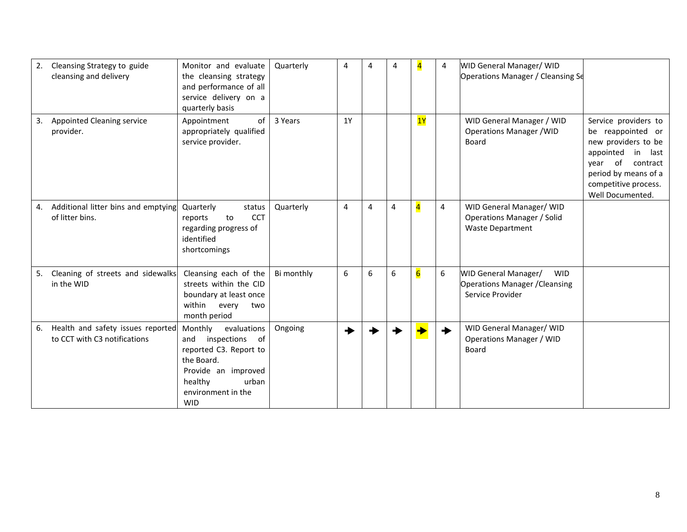| 2. | Cleansing Strategy to guide<br>cleansing and delivery                | Monitor and evaluate<br>the cleansing strategy<br>and performance of all<br>service delivery on a<br>quarterly basis                                                      | Quarterly  | 4         | 4 | 4 | $\overline{4}$          | 4                       | WID General Manager/ WID<br>Operations Manager / Cleansing Se                                          |                                                                                                                                                                                           |
|----|----------------------------------------------------------------------|---------------------------------------------------------------------------------------------------------------------------------------------------------------------------|------------|-----------|---|---|-------------------------|-------------------------|--------------------------------------------------------------------------------------------------------|-------------------------------------------------------------------------------------------------------------------------------------------------------------------------------------------|
| 3. | Appointed Cleaning service<br>provider.                              | of<br>Appointment<br>appropriately qualified<br>service provider.                                                                                                         | 3 Years    | <b>1Y</b> |   |   | 1Y                      |                         | WID General Manager / WID<br><b>Operations Manager / WID</b><br><b>Board</b>                           | Service providers to<br>be reappointed or<br>new providers to be<br>appointed<br>in<br>last<br>of<br>vear<br>contract<br>period by means of a<br>competitive process.<br>Well Documented. |
|    | 4. Additional litter bins and emptying<br>of litter bins.            | Quarterly<br>status<br><b>CCT</b><br>reports<br>to<br>regarding progress of<br>identified<br>shortcomings                                                                 | Quarterly  | 4         | 4 | 4 | $\overline{\mathbf{4}}$ | $\overline{\mathbf{4}}$ | WID General Manager/ WID<br><b>Operations Manager / Solid</b><br><b>Waste Department</b>               |                                                                                                                                                                                           |
| 5. | Cleaning of streets and sidewalks<br>in the WID                      | Cleansing each of the<br>streets within the CID<br>boundary at least once<br>within<br>every<br>two<br>month period                                                       | Bi monthly | 6         | 6 | 6 | $6\overline{6}$         | 6                       | <b>WID General Manager/</b><br><b>WID</b><br><b>Operations Manager / Cleansing</b><br>Service Provider |                                                                                                                                                                                           |
|    | 6. Health and safety issues reported<br>to CCT with C3 notifications | Monthly<br>evaluations<br>inspections<br>of<br>and<br>reported C3. Report to<br>the Board.<br>Provide an improved<br>healthy<br>urban<br>environment in the<br><b>WID</b> | Ongoing    |           |   |   |                         | ◆                       | WID General Manager/ WID<br>Operations Manager / WID<br><b>Board</b>                                   |                                                                                                                                                                                           |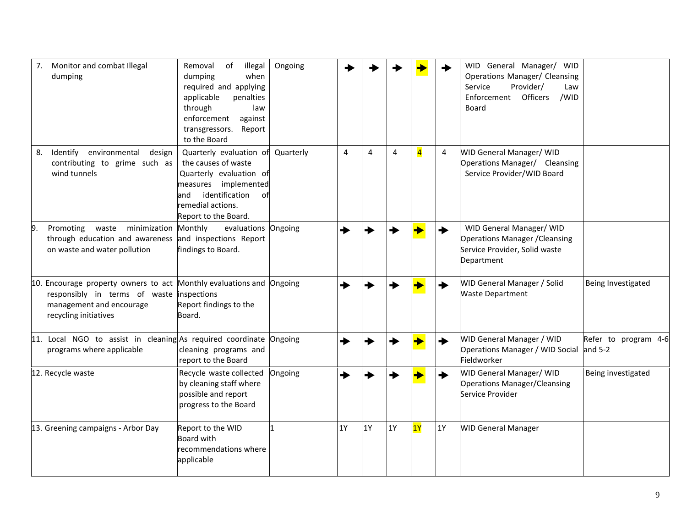| 7.<br>Monitor and combat Illegal<br>dumping                                                                                                                | Removal<br>of<br>illegal<br>dumping<br>when<br>required and applying<br>applicable<br>penalties<br>through<br>law<br>enforcement<br>against<br>Report<br>transgressors.<br>to the Board | Ongoing   |           |    |           |                |           | WID General Manager/ WID<br>Operations Manager/ Cleansing<br>Service<br>Provider/<br>Law<br>Officers<br>Enforcement<br>/WID<br>Board |                                 |
|------------------------------------------------------------------------------------------------------------------------------------------------------------|-----------------------------------------------------------------------------------------------------------------------------------------------------------------------------------------|-----------|-----------|----|-----------|----------------|-----------|--------------------------------------------------------------------------------------------------------------------------------------|---------------------------------|
| Identify environmental<br>8.<br>design<br>contributing to grime such as<br>wind tunnels                                                                    | Quarterly evaluation of<br>the causes of waste<br>Quarterly evaluation of<br>measures implemented<br>identification<br>land<br>ofl<br>remedial actions.<br>Report to the Board.         | Quarterly | 4         | 4  | 4         | $\overline{4}$ | 4         | WID General Manager/ WID<br>Operations Manager/ Cleansing<br>Service Provider/WID Board                                              |                                 |
| minimization<br>9.<br>Promoting waste<br>through education and awareness<br>on waste and water pollution                                                   | Monthly<br>evaluations Ongoing<br>and inspections Report<br>findings to Board.                                                                                                          |           |           |    |           |                |           | WID General Manager/ WID<br><b>Operations Manager / Cleansing</b><br>Service Provider, Solid waste<br>Department                     |                                 |
| 10. Encourage property owners to act Monthly evaluations and Ongoing<br>responsibly in terms of waste<br>management and encourage<br>recycling initiatives | inspections<br>Report findings to the<br>Board.                                                                                                                                         |           |           |    |           |                |           | WID General Manager / Solid<br><b>Waste Department</b>                                                                               | Being Investigated              |
| 11. Local NGO to assist in cleaning As required coordinate Ongoing<br>programs where applicable                                                            | cleaning programs and<br>report to the Board                                                                                                                                            |           | →         |    |           |                |           | WID General Manager / WID<br>Operations Manager / WID Social<br>Fieldworker                                                          | Refer to program 4-6<br>and 5-2 |
| 12. Recycle waste                                                                                                                                          | Recycle waste collected<br>by cleaning staff where<br>possible and report<br>progress to the Board                                                                                      | Ongoing   |           |    |           |                |           | WID General Manager/ WID<br>Operations Manager/Cleansing<br>Service Provider                                                         | Being investigated              |
| 13. Greening campaigns - Arbor Day                                                                                                                         | Report to the WID<br><b>Board with</b><br>recommendations where<br>applicable                                                                                                           |           | <b>1Y</b> | 1Y | <b>1Y</b> | 1Y             | <b>1Y</b> | <b>WID General Manager</b>                                                                                                           |                                 |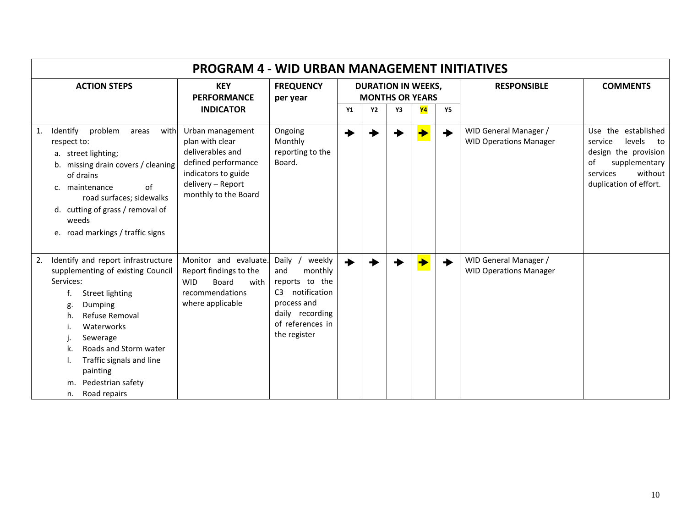| <b>PROGRAM 4 - WID URBAN MANAGEMENT INITIATIVES</b>                                                                                                                                                                                                                                                            |                                                                                                                                                    |                                                                                                                                                               |           |                                                     |    |                 |           |                                                        |                                                                                                                                                |  |  |
|----------------------------------------------------------------------------------------------------------------------------------------------------------------------------------------------------------------------------------------------------------------------------------------------------------------|----------------------------------------------------------------------------------------------------------------------------------------------------|---------------------------------------------------------------------------------------------------------------------------------------------------------------|-----------|-----------------------------------------------------|----|-----------------|-----------|--------------------------------------------------------|------------------------------------------------------------------------------------------------------------------------------------------------|--|--|
| <b>ACTION STEPS</b>                                                                                                                                                                                                                                                                                            | <b>KEY</b><br><b>PERFORMANCE</b>                                                                                                                   | <b>FREQUENCY</b><br>per year                                                                                                                                  |           | <b>DURATION IN WEEKS,</b><br><b>MONTHS OR YEARS</b> |    |                 |           | <b>RESPONSIBLE</b>                                     | <b>COMMENTS</b>                                                                                                                                |  |  |
|                                                                                                                                                                                                                                                                                                                | <b>INDICATOR</b>                                                                                                                                   |                                                                                                                                                               | <b>Y1</b> | <b>Y2</b>                                           | Y3 | <mark>Y4</mark> | <b>Y5</b> |                                                        |                                                                                                                                                |  |  |
| Identify<br>problem<br>with<br>areas<br>1.<br>respect to:<br>a. street lighting;<br>b. missing drain covers / cleaning<br>of drains<br>of<br>c. maintenance<br>road surfaces; sidewalks<br>d. cutting of grass / removal of<br>weeds<br>e. road markings / traffic signs                                       | Urban management<br>plan with clear<br>deliverables and<br>defined performance<br>indicators to guide<br>delivery - Report<br>monthly to the Board | Ongoing<br>Monthly<br>reporting to the<br>Board.                                                                                                              |           |                                                     |    |                 | ◆         | WID General Manager /<br><b>WID Operations Manager</b> | Use the established<br>levels<br>service<br>to<br>design the provision<br>of<br>supplementary<br>without<br>services<br>duplication of effort. |  |  |
| Identify and report infrastructure<br>2.<br>supplementing of existing Council<br>Services:<br><b>Street lighting</b><br>f.<br>Dumping<br>g<br>Refuse Removal<br>h.<br>Waterworks<br>Sewerage<br>Roads and Storm water<br>Traffic signals and line<br>painting<br>Pedestrian safety<br>m.<br>Road repairs<br>n. | Monitor and evaluate.<br>Report findings to the<br><b>WID</b><br>Board<br>with<br>recommendations<br>where applicable                              | weekly<br>Daily /<br>monthly<br>and<br>reports to the<br>notification<br>C <sub>3</sub><br>process and<br>daily recording<br>of references in<br>the register | ◆         |                                                     |    |                 | ◆         | WID General Manager /<br><b>WID Operations Manager</b> |                                                                                                                                                |  |  |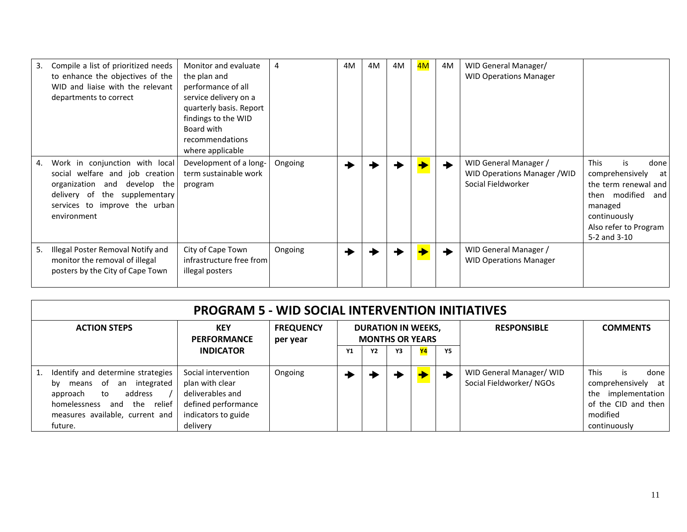| 3. | Compile a list of prioritized needs<br>to enhance the objectives of the<br>WID and liaise with the relevant<br>departments to correct                                                 | Monitor and evaluate<br>the plan and<br>performance of all<br>service delivery on a<br>quarterly basis. Report<br>findings to the WID<br>Board with<br>recommendations<br>where applicable | 4       | 4M | 4M | 4M | 4M | 4M | WID General Manager/<br><b>WID Operations Manager</b>                              |                                                                                                                                                                         |
|----|---------------------------------------------------------------------------------------------------------------------------------------------------------------------------------------|--------------------------------------------------------------------------------------------------------------------------------------------------------------------------------------------|---------|----|----|----|----|----|------------------------------------------------------------------------------------|-------------------------------------------------------------------------------------------------------------------------------------------------------------------------|
| 4. | Work in conjunction with local<br>welfare and job creation<br>social<br>organization and develop the<br>delivery of the supplementary<br>services to improve the urban<br>environment | Development of a long-<br>term sustainable work<br>program                                                                                                                                 | Ongoing |    |    |    |    |    | WID General Manager /<br><b>WID Operations Manager / WID</b><br>Social Fieldworker | <b>This</b><br>is<br>done<br>comprehensively<br>atl<br>the term renewal and<br>then modified<br>and<br>managed<br>continuously<br>Also refer to Program<br>5-2 and 3-10 |
| 5. | Illegal Poster Removal Notify and<br>monitor the removal of illegal<br>posters by the City of Cape Town                                                                               | City of Cape Town<br>infrastructure free from<br>illegal posters                                                                                                                           | Ongoing |    |    |    |    |    | WID General Manager /<br><b>WID Operations Manager</b>                             |                                                                                                                                                                         |

| <b>PROGRAM 5 - WID SOCIAL INTERVENTION INITIATIVES</b>                                                                                                                            |                                                                                                                      |                              |                                                     |           |    |    |    |                                                      |                                                                                                                           |
|-----------------------------------------------------------------------------------------------------------------------------------------------------------------------------------|----------------------------------------------------------------------------------------------------------------------|------------------------------|-----------------------------------------------------|-----------|----|----|----|------------------------------------------------------|---------------------------------------------------------------------------------------------------------------------------|
| <b>ACTION STEPS</b>                                                                                                                                                               | <b>KEY</b><br><b>PERFORMANCE</b>                                                                                     | <b>FREQUENCY</b><br>per year | <b>DURATION IN WEEKS,</b><br><b>MONTHS OR YEARS</b> |           |    |    |    | <b>RESPONSIBLE</b>                                   | <b>COMMENTS</b>                                                                                                           |
|                                                                                                                                                                                   | <b>INDICATOR</b>                                                                                                     |                              | Υ1                                                  | <b>Y2</b> | Υ3 | Y4 | Y5 |                                                      |                                                                                                                           |
| Identify and determine strategies<br>means of an integrated<br>bv<br>address<br>approach<br>to<br>homelessness<br>the relief<br>and<br>measures available, current and<br>future. | Social intervention<br>plan with clear<br>deliverables and<br>defined performance<br>indicators to guide<br>delivery | Ongoing                      |                                                     |           |    |    | ÷  | WID General Manager/ WID<br>Social Fieldworker/ NGOs | <b>This</b><br>done<br>is.<br>comprehensively at<br>the implementation<br>of the CID and then<br>modified<br>continuously |